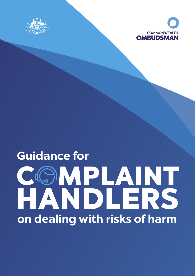



# C MPLAINT HANDLERS **on dealing with risks of harm Guidance for**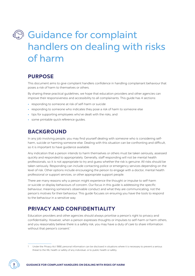## **Guidance for complaint** handlers on dealing with risks of harm

## **PURPOSE**

This document aims to give complaint handlers confidence in handling complainant behaviour that poses a risk of harm to themselves or others.

By sharing these practical guidelines, we hope that education providers and other agencies can improve their responsiveness and accessibility to all complainants. This guide has 4 sections:

- **•** responding to someone at risk of self-harm or suicide
- **•** responding to someone who indicates they pose a risk of harm to someone else
- **•** tips for supporting employees who've dealt with the risks, and
- **•** some printable quick reference guides.

### **BACKGROUND**

In any job involving people, you may find yourself dealing with someone who is considering selfharm, suicide or harming someone else. Dealing with this situation can be confronting and difficult, so it is important to have guidance available.

Any indication that a person intends to harm themselves or others must be taken seriously, assessed quickly and responded to appropriately. Generally, staff responding will not be mental health professionals, so it is not appropriate to try and guess whether the risk is genuine. All risks should be taken seriously. Responding can include contacting police or emergency services depending on the level of risk. Other options include encouraging the person to engage with a doctor, mental health professional or support services, or other appropriate support people.

There are many reasons why a person might experience the thought or impulse to self-harm or suicide or display behaviours of concern. Our focus in this guide is addressing the specific behaviour, meaning someone's observable conduct and what they are communicating, not the person's motives for their behaviour. This guide focuses on ensuring you have the tools to respond to the behaviour in a sensitive way.

## **PRIVACY AND CONFIDENTIALITY**

Education providers and other agencies should always prioritise a person's right to privacy and confidentiality. However, when a person expresses thoughts or impulses to self-harm or harm others, and you reasonably believe there is a safety risk, you may have a duty of care to share information without that person's consent.<sup>1</sup>

Under the Privacy Act 1988, personal information can be disclosed in situations where it is necessary to prevent a serious threat to the life, health or safety of any individual, or to public health or safety.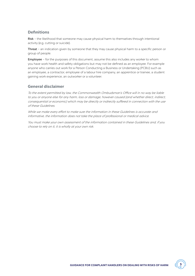#### **Definitions**

Risk - the likelihood that someone may cause physical harm to themselves through intentional activity (e.g. cutting or suicide).

Threat – an indication given by someone that they may cause physical harm to a specific person or group of people.

Employee – for the purposes of this document, assume this also includes any worker to whom you have work health and safety obligations but may not be defined as an employee. For example anyone who carries out work for a Person Conducting a Business or Undertaking (PCBU) such as an employee, a contractor, employee of a labour hire company, an apprentice or trainee, a student gaining work experience, an outworker or a volunteer.

#### **General disclaimer**

To the extent permitted by law, the Commonwealth Ombudsman's Office will in no way be liable to you or anyone else for any harm, loss or damage, however caused (and whether direct, indirect, consequential or economic) which may be directly or indirectly suffered in connection with the use of these Guidelines.

While we make every effort to make sure the information in these Guidelines is accurate and informative, the information does not take the place of professional or medical advice.

You must make your own assessment of the information contained in these Guidelines and, if you choose to rely on it, it is wholly at your own risk.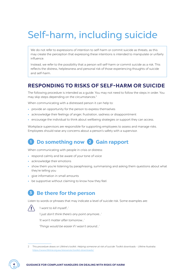## Self-harm, including suicide

We do not refer to expressions of intention to self-harm or commit suicide as threats, as this may create the perception that expressing these intentions is intended to manipulate or unfairly influence.

Instead, we refer to the possibility that a person will self-harm or commit suicide as a risk. This reflects the distress, helplessness and personal risk of those experiencing thoughts of suicide and self-harm.

## **RESPONDING TO RISKS OF SELF-HARM OR SUICIDE**

The following procedure is intended as a guide. You may not need to follow the steps in order. You may skip steps depending on the circumstances.2

When communicating with a distressed person it can help to:

- **•** provide an opportunity for the person to express themselves
- **•** acknowledge their feelings of anger, frustration, sadness or disappointment
- **•** encourage the individual to think about wellbeing strategies or support they can access.

Workplace supervisors are responsible for supporting employees to assess and manage risks. Employees should raise any concerns about a person's safety with a supervisor.

## **1 Do something now 2 Gain rapport**

When communicating with people in crisis or distress:

- **•** respond calmly and be aware of your tone of voice
- **•** acknowledge their emotions
- **•** show them you're listening by paraphrasing, summarising and asking them questions about what they're telling you
- **•** give information in small amounts
- **•** be supportive without claiming to know how they feel.

## **3 Be there for the person**

Listen to words or phrases that may indicate a level of suicide risk. Some examples are:



'I want to kill myself…'

'I just don't think there's any point anymore…'

'It won't matter after tomorrow…'

'Things would be easier if I wasn't around…'

<sup>2</sup> This procedure draws on Lifeline's toolkit: Helping someone at risk of suicide: Toolkit downloads - Lifeline Australia: //www.lifeline.org.au/resources/toolkit-downloads/

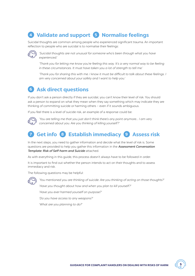## **4 Validate and support 5 Normalise feelings**

Suicidal thoughts are common among people who experienced significant trauma. An important reflection to people who are suicidal is to normalise their feelings:



'Suicidal thoughts are not unusual for someone who's been through what you have experienced.'

'Thank you for letting me know you're feeling this way. It's a very normal way to be feeling in these circumstances. It must have taken you a lot of strength to tell me.'

'Thank you for sharing this with me. I know it must be difficult to talk about these feelings. I am very concerned about your safety and I want to help you.'

## **6 Ask direct questions**

If you don't ask a person directly if they are suicidal, you can't know their level of risk. You should ask a person to expand on what they mean when they say something which may indicate they are thinking of committing suicide or harming others – even if it sounds ambiguous.

If you feel there is a level of suicide risk, an example of a response could be:



'You are telling me that you just don't think there's any point anymore... I am very concerned about you. Are you thinking of killing yourself?'

## **7 Get info 8 Establish immediacy 9 Assess risk**

In the next steps, you need to gather information and decide what the level of risk is. Some questions are provided to help you gather this information in the Assessment Conversation Template: Risk of Self-harm and Suicide attached.

As with everything in this guide, this process doesn't always have to be followed in order.

It is important to find out whether the person intends to act on their thoughts and to assess immediacy and risk.

The following questions may be helpful:



'You mentioned you are thinking of suicide. Are you thinking of acting on those thoughts?' 'Have you thought about how and when you plan to kill yourself?'

'Have you ever harmed yourself on purpose?'

'Do you have access to any weapons?'

'What are you planning to do?'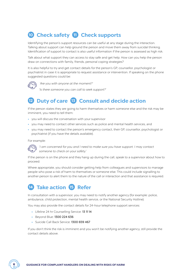## **10 Check safety 11 Check supports**

Identifying the person's support resources can be useful at any stage during the interaction. Talking about support can help ground the person and move them away from suicidal thinking. Identification of support to contact is also useful information if the person is assessed as high risk.

Talk about what support they can access to stay safe and get help. How can you help the person draw on connections with family, friends, personal coping strategies?

It is also helpful to try and get contact details for the person's GP, counsellor, psychologist or psychiatrist in case it is appropriate to request assistance or intervention. If speaking on the phone suggested questions could be:



'Are you with anyone at the moment?'

'Is there someone you can call to seek support?'

## **12 Duty of care 13 Consult and decide action**

If the person states they are going to harm themselves or harm someone else and the risk may be imminent, you need to tell them:

- **•** you will discuss the conversation with your supervisor
- **•** you may need to contact other services such as police and mental health services, and
- **•** you may need to contact the person's emergency contact, their GP, counsellor, psychologist or psychiatrist (if you have the details available).

For example:



'I am concerned for you and I need to make sure you have support. I may contact someone to check on your safety.'

If the person is on the phone and they hang up during the call, speak to a supervisor about how to proceed.

Where appropriate, you should consider getting help from colleagues and supervisors to manage people who pose a risk of harm to themselves or someone else. This could include signalling to another person to alert them to the nature of the call or interaction and that assistance is required.

## **14 Take action 15 Refer**

In consultation with a supervisor, you may need to notify another agency (for example: police, ambulance, child protection, mental health service, or the National Security Hotline).

You may also provide the contact details for 24-hour telephone support services:

- **•** Lifeline 24 hr Counselling Service: 13 11 14
- **•** Beyond Blue: 1300 224 636
- **•** Suicide Call Back Service: 1300 659 467

If you don't think the risk is imminent and you won't be notifying another agency, still provide the contact details above.

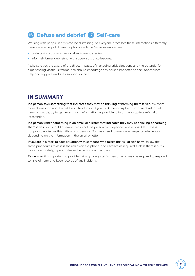## **16 Defuse and debrief 17 Self-care**

Working with people in crisis can be distressing. As everyone processes these interactions differently, there are a variety of different options available. Some examples are:

- **•** undertaking your own personal self-care strategies
- **•** informal/formal debriefing with supervisors or colleagues.

Make sure you are aware of the direct impacts of managing crisis situations and the potential for experiencing vicarious trauma. You should encourage any person impacted to seek appropriate help and support, and seek support yourself.

### **IN SUMMARY**

If a person says something that indicates they may be thinking of harming themselves, ask them a direct question about what they intend to do. If you think there may be an imminent risk of selfharm or suicide, try to gather as much information as possible to inform appropriate referral or intervention.

If a person writes something in an email or a letter that indicates they may be thinking of harming themselves, you should attempt to contact the person by telephone, where possible. If this is not possible, discuss this with your supervisor. You may need to arrange emergency intervention depending on the information in the email or letter.

If you are in a face-to-face situation with someone who raises the risk of self-harm, follow the same procedures to assess the risk as on the phone, and escalate as required. Unless there is a risk to your own safety, try not to leave the person on their own.

Remember it is important to provide training to any staff or person who may be required to respond to risks of harm and keep records of any incidents.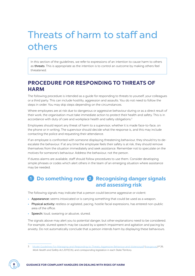## Threats of harm to staff and others

In this section of the guidelines, we refer to expressions of an intention to cause harm to others as threats. This is appropriate as the intention is to control an outcome by making others feel threatened.

## **PROCEDURE FOR RESPONDING TO THREATS OF HARM**

The following procedure is intended as a guide for responding to threats to yourself, your colleagues or a third party. This can include hostility, aggression and assaults. You do not need to follow the steps in order. You may skip steps depending on the circumstances.

Where employees are at risk due to dangerous or aggressive behaviour during or as a direct result of their work, the organisation must take immediate action to protect their health and safety. This is in accordance with duty of care and workplace health and safety obligations.<sup>3</sup>

Employees should report any threat of harm to a supervisor, whether it is made face-to-face, on the phone or in writing. The supervisor should decide what the response is, and this may include contacting the police and requesting their attendance.

If an employee is confronted with someone displaying threatening behaviour, they should try to deescalate the behaviour. If at any time the employee feels their safety is at risk, they should remove themselves from the situation immediately and seek assistance. Remember not to speculate on the motives for someone's behaviour. Address the behaviour, not the person.

If duress alarms are available, staff should follow procedures to use them. Consider developing simple phrases or codes which alert others in the team of an emerging situation where assistance may be needed.

## **<sup>1</sup> Do something now 2 Recognising danger signals and assessing risk**

The following signals may indicate that a person could become aggressive or violent:

- **•** Appearance: seems intoxicated or is carrying something that could be used as a weapon.
- **•** Physical activity: restless or agitated, pacing, hostile facial expressions, has entered non-public area of the office.
- **•** Speech: loud, swearing or abusive, slurred.

The signals above may alert you to potential danger, but other explanations need to be considered. For example, slurred speech may be caused by a speech impairment and agitation and pacing by anxiety. Do not automatically conclude that a person intends harm by displaying these behaviours.

<sup>3</sup> [Model-Guidelines-For-Managing-and-Responding-to-Threats,-Aggressive-Behaviour-and-Violence.pdf](https://www.ombo.nsw.gov.au/__data/assets/pdf_file/0007/21310/Model-Guidelines-For-Managing-and-Responding-to-Threats,-Aggressive-Behaviour-and-Violence.pdf) ([nsw.gov.au\)](http://nsw.gov.au) P 26, Work Health and Safety Act 2011 (Cth), and corresponding legislation in each State/Territory.

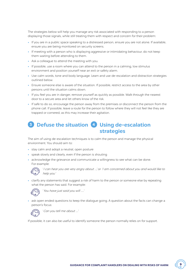The strategies below will help you manage any risk associated with responding to a person displaying those signals, while still treating them with respect and concern for their problem:

- **•** If you are in a public space speaking to a distressed person, ensure you are not alone. If available, ensure you are being monitored on security screens.
- **•** If meeting with a person who is displaying aggressive or intimidating behaviour, do not keep them waiting before attending to them.
- **•** Ask a colleague to attend the meeting with you.
- **•** If possible, use a room where you can attend to the person in a calming, low stimulus environment and position yourself near an exit or safety alarm.
- **•** Use calm words, tone and body language. Learn and use de-escalation and distraction strategies outlined below.
- **•** Ensure someone else is aware of the situation. If possible, restrict access to the area by other persons until the situation calms down.
- **•** If you feel you are in danger, remove yourself as quickly as possible. Walk through the nearest door to a secure area and let others know of the risk.
- **•** If safe to do so, encourage the person away from the premises or disconnect the person from the phone call. If possible, leave a route for the person to follow where they will not feel like they are trapped or cornered, as this may increase their agitation.

### **<sup>3</sup> Defuse the situation 4 Using de-escalation strategies**

The aim of using de-escalation techniques is to calm the person and manage the physical environment. You should aim to:

- **•** stay calm and adopt a neutral, open posture
- **•** speak slowly and clearly, even if the person is shouting
- **•** acknowledge the grievance and communicate a willingness to see what can be done. For example:



'I can hear you are very angry about …', or 'I am concerned about you and would like to help you '

**•** clarify any statements that suggest a risk of harm to the person or someone else by repeating what the person has said. For example:



'You have just said you will .....'

**•** ask open ended questions to keep the dialogue going. A question about the facts can change a person's focus:



'Can you tell me about ….'

If possible, it can also be useful to identify someone the person normally relies on for support.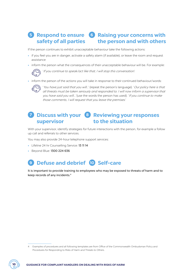#### **5 Respond to ensure 6 Raising your concerns with safety of all parties the person and with others**

If the person continues to exhibit unacceptable behaviour take the following actions:

- **•** if you feel you are in danger, activate a safety alarm (if available), or leave the room and request assistance
- **•** inform the person what the consequences of their unacceptable behaviour will be. For example:



'If you continue to speak/act like that, I will stop this conversation.'

• inform the person of the actions you will take in response to their continued behaviour/words:



'You have just said that you will…' (repeat the person's language). 'Our policy here is that all threats must be taken seriously and responded to. I will now inform a supervisor that you have said you will...' (use the words the person has used). 'If you continue to make those comments, I will request that you leave the premises.'

#### **7 Discuss with your 8 Reviewing your responses supervisor to the situation**

With your supervisor, identify strategies for future interactions with the person, for example a follow up call and referrals to other services.

You may also provide 24-hour telephone support services:

- **•** Lifeline 24 hr Counselling Service: 13 11 14
- **•** Beyond Blue: 1300 224 636

## **9 Defuse and debrief 10 Self-care**

It is important to provide training to employees who may be exposed to threats of harm and to keep records of any incidents.4

<sup>4</sup> Examples of procedures and all following templates are from Office of the Commonwealth Ombudsman Policy and Procedures for Responding to Risks of Harm and Threats to Others.

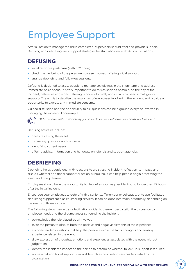## Employee Support

After all action to manage the risk is completed, supervisors should offer and provide support. Defusing and debriefing are 2 support strategies for staff who deal with difficult situations.

## **DEFUSING**

- **•** initial response post-crisis (within 12 hours)
- **•** check the wellbeing of the person/employee involved, offering initial support
- **•** arrange debriefing and follow-up sessions.

Defusing is designed to assist people to manage any distress in the short-term and address immediate basic needs. It is very important to do this as soon as possible, on the day of the incident, before leaving work. Defusing is done informally and usually by peers (small group support). The aim is to stabilise the responses of employees involved in the incident and provide an opportunity to express any immediate concerns.

Guided discussion and the opportunity to ask questions can help ground everyone involved in managing the incident. For example:



'What is one 'self-care' activity you can do for yourself after you finish work today? '

Defusing activities include:

- **•** briefly reviewing the event
- **•** discussing questions and concerns
- **•** identifying current needs
- **•** offering advice, information and handouts on referrals and support agencies.

## **DEBRIEFING**

Debriefing helps people deal with reactions to a distressing incident, reflect on its impact, and discuss whether additional support or action is required. It can help people begin processing the event and bring closure.

Employees should have the opportunity to debrief as soon as possible, but no longer than 72 hours after the initial incident.

Encourage your employees to debrief with a senior staff member or colleague, or to use facilitated debriefing support such as counselling services. It can be done informally or formally, depending on the needs of those involved.

The following steps may act as a facilitation guide, but remember to tailor the discussion to employee needs and the circumstances surrounding the incident:

- **•** acknowledge the role played by all involved
- **•** invite the person to discuss both the positive and negative elements of the experience
- **•** ask open-ended questions that help the person explore the facts, thoughts and sensory experience related to the event
- **•** allow expression of thoughts, emotions and experiences associated with the event without judgement
- **•** identify the incident's impact on the person to determine whether follow-up support is required
- **•** advise what additional support is available such as counselling services facilitated by the organisation.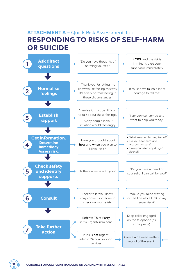## **ATTACHMENT A** – Quick Risk Assessment Tool **RESPONDING TO RISKS OF SELF-HARM OR SUICIDE**

|   | <b>Ask direct</b><br>questions                                                   |  | 'Do you have thoughts of<br>harming yourself?'                                          |  | If YES, and the risk is<br>imminent, alert your<br>supervisor immediately                                                    |
|---|----------------------------------------------------------------------------------|--|-----------------------------------------------------------------------------------------|--|------------------------------------------------------------------------------------------------------------------------------|
|   |                                                                                  |  | 'Thank you for letting me                                                               |  |                                                                                                                              |
|   | <b>Normalise</b><br>feelings                                                     |  | know you're feeling this way.<br>It's a very normal feeling in<br>these circumstances.' |  | 'It must have taken a lot of<br>courage to tell me.'                                                                         |
|   |                                                                                  |  |                                                                                         |  |                                                                                                                              |
|   | <b>Establish</b><br>rapport                                                      |  | 'I realise it must be difficult<br>to talk about these feelings.'                       |  | 'I am very concerned and<br>want to help you today.'                                                                         |
|   |                                                                                  |  | 'Many people in your<br>situation would feel angry.'                                    |  |                                                                                                                              |
|   |                                                                                  |  |                                                                                         |  |                                                                                                                              |
| 4 | <b>Get information.</b><br><b>Determine</b><br>immediacy.<br><b>Assess risk.</b> |  | 'Have you thought about<br>how and when you plan to<br>kill yourself?'                  |  | · 'What are you planning to do?'<br>• 'Do you have access to<br>weapons/means?'<br>· 'Have you taken any drugs/<br>alcohol?' |
|   |                                                                                  |  |                                                                                         |  |                                                                                                                              |
| 5 | <b>Check safety</b><br>and identify<br><b>supports</b>                           |  | 'Is there anyone with you?'                                                             |  | 'Do you have a friend or<br>counsellor I can call for you?'                                                                  |
|   |                                                                                  |  |                                                                                         |  |                                                                                                                              |
| 6 | <b>Consult</b>                                                                   |  | 'I need to let you know I<br>may contact someone to<br>check on your safety.'           |  | 'Would you mind staying<br>on the line while I talk to my<br>supervisor?'                                                    |
|   |                                                                                  |  |                                                                                         |  |                                                                                                                              |
|   | <b>Take further</b>                                                              |  | Refer to Third Party<br>if risk urgent/imminent                                         |  | Keep caller engaged<br>on the telephone (as<br>appropriate)                                                                  |
|   | action                                                                           |  | If risk is not urgent,<br>refer to 24 hour support<br>services                          |  | Create a detailed written<br>record of the event.                                                                            |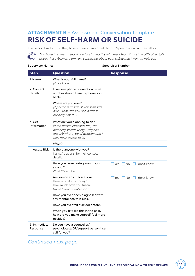## **ATTACHMENT B** – Assessment Conversation Template **RISK OF SELF-HARM OR SUICIDE**

The person has told you they have a current plan of self-harm. Repeat back what they tell you:

 $\widehat{(\bigcirc)}$ 'You have told me …… thank you for sharing this with me. I know it must be difficult to talk about these feelings. I am very concerned about your safety and I want to help you.'

#### Supervisor Name: \_\_\_\_\_\_\_\_\_\_\_\_\_\_\_\_\_\_\_\_\_\_ Supervisor Number: \_\_\_\_\_\_\_\_\_\_\_\_\_\_\_\_\_

| <b>Step</b>              | Question                                                                                                                                                                | <b>Response</b>              |
|--------------------------|-------------------------------------------------------------------------------------------------------------------------------------------------------------------------|------------------------------|
| 1. Name                  | What is your full name?<br>(if not known)                                                                                                                               |                              |
| 2. Contact<br>details    | If we lose phone connection, what<br>number should I use to phone you<br>back?                                                                                          |                              |
|                          | Where are you now?<br>(If person is unsure of whereabouts,<br>ask: "What can you see/nearest<br>building/street?")                                                      |                              |
| 3. Get<br>Information    | What are you planning to do?<br>(If the person indicates they are<br>planning suicide using weapons,<br>identify what type of weapon and if<br>they have access to it.) |                              |
|                          | When?                                                                                                                                                                   |                              |
| 4. Assess Risk           | Is there anyone with you?<br>Name/relationship/their contact<br>details.                                                                                                |                              |
|                          | Have you been taking any drugs/<br>alcohol?<br>What/Quantity?                                                                                                           | No       don't know<br>l Yes |
|                          | Are you on any medication?<br>Have you taken it today?<br>How much have you taken?<br>Name/Quantity/Method?                                                             | Yes No I I don't know        |
|                          | Have you ever been diagnosed with<br>any mental health issues?                                                                                                          |                              |
|                          | Have you ever felt suicidal before?                                                                                                                                     |                              |
|                          | When you felt like this in the past,<br>how did you make yourself feel more<br>positive?                                                                                |                              |
| 5. Immediate<br>Response | Do you have a counsellor/<br>psychologist/GP/support person I can<br>call for you?                                                                                      |                              |

### Continued next page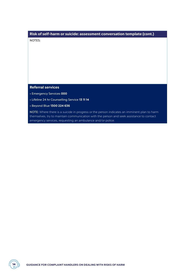### **Risk of self-harm or suicide: assessment conversation template (cont.)**

NOTES:

#### **Referral services**

- Emergency Services **000**
- Lifeline 24 hr Counselling Service **13 11 14**
- Beyond Blue **1300 224 636**

NOTE: Where there is a suicide in progress or the person indicates an imminent plan to harm themselves, try to maintain communication with the person and seek assistance to contact emergency services, requesting an ambulance and/or police.

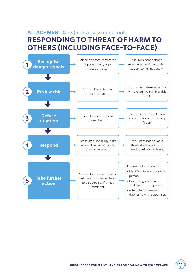## **ATTACHMENT C** – Quick Assessment Tool: **RESPONDING TO THREAT OF HARM TO OTHERS (INCLUDING FACE-TO-FACE)**



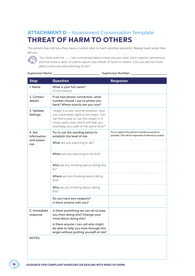## **ATTACHMENT D** – Assessment Conversation Template **THREAT OF HARM TO OTHERS**

The person has told you they have a current plan to harm another person(s). Repeat back what they tell you:



'You have told me ……. I am concerned about what you just said, and I need to remind you that we have a duty of care to report any threat of harm to others. Can you tell me more about what you are planning to do? '

#### Supervisor Name: \_\_\_\_\_\_\_\_\_\_\_\_\_\_\_\_\_\_\_\_\_\_ Supervisor Number: \_\_\_\_\_\_\_\_\_\_\_\_\_\_\_\_\_

| <b>Step</b>              | <b>Question</b>                                                                                                                                                                                      | <b>Response</b>                                                                                            |
|--------------------------|------------------------------------------------------------------------------------------------------------------------------------------------------------------------------------------------------|------------------------------------------------------------------------------------------------------------|
| 1. Name                  | What is your full name?<br>(if not known)                                                                                                                                                            |                                                                                                            |
| 2. Contact<br>details    | If we lose phone connection, what<br>number should I use to phone you<br>back? Where exactly are you now?                                                                                            |                                                                                                            |
| 3. Validate<br>feelings  | 'Anger is a very normal emotion, and<br>you have every right to be angry. Can<br>we find a way to use this anger in a<br>more useful way which will help you<br>and keep you safe at the same time?' |                                                                                                            |
| 4. Get<br>information    | Try to use the wording below to<br>establish the level of risk.                                                                                                                                      | Try to capture the person's words as exactly as<br>possible. This will be important if referred to police. |
| and assess<br>risk       | What are you planning to do?                                                                                                                                                                         |                                                                                                            |
|                          | When are you planning to do this?                                                                                                                                                                    |                                                                                                            |
|                          | Who are you thinking about doing this<br>to?                                                                                                                                                         |                                                                                                            |
|                          | Where are you thinking about doing<br>this?                                                                                                                                                          |                                                                                                            |
|                          | Why are you thinking about doing<br>this?                                                                                                                                                            |                                                                                                            |
|                          | Do you have any weapons?<br>Is there anyone with you?                                                                                                                                                |                                                                                                            |
| 5. Immediate<br>response | Is there something we can do to stop<br>you from doing this?/change your<br>mind about doing this?                                                                                                   |                                                                                                            |
|                          | Is there anyone I can call who might<br>be able to help you work through this<br>anger without putting yourself at risk?                                                                             |                                                                                                            |
| NOTES:                   |                                                                                                                                                                                                      |                                                                                                            |

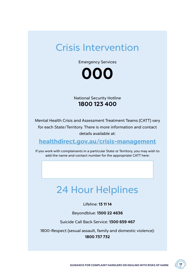## Crisis Intervention

Emergency Services



National Security Hotline **1800 123 400**

Mental Health Crisis and Assessment Treatment Teams (CATT) vary for each State/Territory. There is more information and contact details available at:

## **[healthdirect.gov.au/crisis-management](http://healthdirect.gov.au/crisis-management)**

If you work with complainants in a particular State or Territory, you may wish to add the name and contact number for the appropriate CATT here:

## 24 Hour Helplines

#### Lifeline: **13 11 14**

Beyondblue: **1300 22 4636**

Suicide Call Back Service: **1300 659 467**

1800-Respect (sexual assault, family and domestic violence): **1800 737 732**